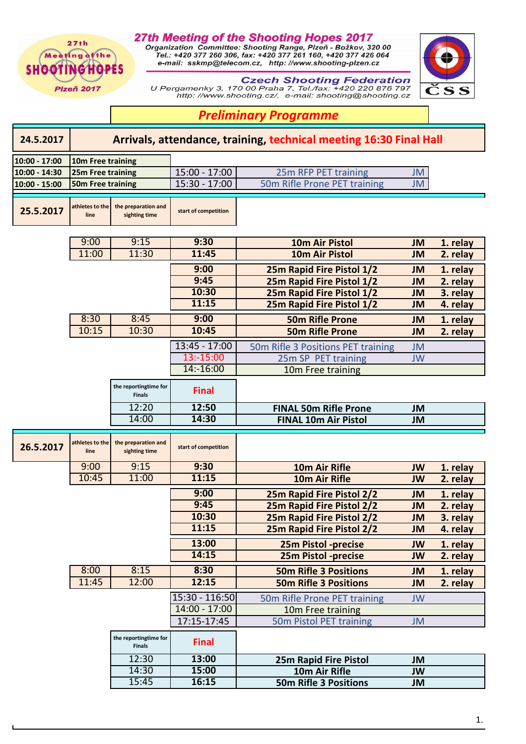## 27th Meeting of the Shooting Hopes 2017

Organization Committee: Shooting Range, Plzeň - Božkov, 320 00<br>Tel.: +420 377 260 306, fax: +420 377 261 160, +420 377 426 064<br>e-mail: sskmp@telecom.cz, http://www.shooting-plzen.cz



 $27th$ 

Meeting of the **SHOOTINGHOPES** 





## *Preliminary Programme*

| 24.5.2017     | Arrivals, attendance, training, technical meeting 16:30 Final Hall |                                        |                                   |                                                        |                        |                      |  |  |  |
|---------------|--------------------------------------------------------------------|----------------------------------------|-----------------------------------|--------------------------------------------------------|------------------------|----------------------|--|--|--|
| 10:00 - 17:00 | 10m Free training                                                  |                                        |                                   |                                                        |                        |                      |  |  |  |
| 10:00 - 14:30 | 25m Free training                                                  |                                        | 15:00 - 17:00                     | 25m RFP PET training                                   | <b>JM</b>              |                      |  |  |  |
| 10:00 - 15:00 | 50m Free training                                                  |                                        | $15:30 - 17:00$                   | 50m Rifle Prone PET training                           | <b>JM</b>              |                      |  |  |  |
| 25.5.2017     | athletes to the<br>line                                            | the preparation and<br>sighting time   | start of competition              |                                                        |                        |                      |  |  |  |
|               | 9:00                                                               | 9:15                                   | 9:30                              | <b>10m Air Pistol</b>                                  | <b>JM</b>              | 1. relay             |  |  |  |
|               | 11:00                                                              | 11:30                                  | 11:45                             | <b>10m Air Pistol</b>                                  | <b>JM</b>              | 2. relay             |  |  |  |
|               |                                                                    |                                        |                                   |                                                        |                        |                      |  |  |  |
|               |                                                                    |                                        | 9:00<br>9:45                      | 25m Rapid Fire Pistol 1/2                              | <b>JM</b>              | 1. relay             |  |  |  |
|               |                                                                    |                                        | 10:30                             | 25m Rapid Fire Pistol 1/2                              | <b>JM</b>              | 2. relay             |  |  |  |
|               |                                                                    |                                        | 11:15                             | 25m Rapid Fire Pistol 1/2<br>25m Rapid Fire Pistol 1/2 | <b>JM</b><br><b>JM</b> | 3. relay<br>4. relay |  |  |  |
|               |                                                                    |                                        |                                   |                                                        |                        |                      |  |  |  |
|               | 8:30                                                               | 8:45                                   | 9:00                              | <b>50m Rifle Prone</b>                                 | <b>JM</b>              | 1. relay             |  |  |  |
|               | 10:15                                                              | 10:30                                  | 10:45                             | <b>50m Rifle Prone</b>                                 | <b>JM</b>              | 2. relay             |  |  |  |
|               |                                                                    |                                        | $13:45 - 17:00$                   | 50m Rifle 3 Positions PET training                     | <b>JM</b>              |                      |  |  |  |
|               |                                                                    |                                        | 13:-15:00                         | 25m SP PET training                                    | <b>JW</b>              |                      |  |  |  |
|               |                                                                    |                                        | 14:-16:00                         | 10m Free training                                      |                        |                      |  |  |  |
|               |                                                                    | the reportingtime for<br><b>Finals</b> | <b>Final</b>                      |                                                        |                        |                      |  |  |  |
|               |                                                                    | 12:20                                  | 12:50                             | <b>FINAL 50m Rifle Prone</b>                           | <b>JM</b>              |                      |  |  |  |
|               |                                                                    | 14:00                                  | 14:30                             | <b>FINAL 10m Air Pistol</b>                            | <b>JM</b>              |                      |  |  |  |
| 26.5.2017     | athletes to the<br>line                                            | the preparation and<br>sighting time   | start of competition              |                                                        |                        |                      |  |  |  |
|               | 9:00                                                               | 9:15                                   | 9:30                              | 10m Air Rifle                                          | <b>JW</b>              | 1. relay             |  |  |  |
|               | 10:45                                                              | 11:00                                  | 11:15                             | 10m Air Rifle                                          | <b>JW</b>              | 2. relay             |  |  |  |
|               |                                                                    |                                        | 9:00                              | 25m Rapid Fire Pistol 2/2                              | <b>JM</b>              | 1. relay             |  |  |  |
|               |                                                                    |                                        | 9:45                              | 25m Rapid Fire Pistol 2/2                              | <b>JM</b>              | 2. relay             |  |  |  |
|               |                                                                    |                                        | 10:30                             | 25m Rapid Fire Pistol 2/2                              | <b>JM</b>              | 3. relay             |  |  |  |
|               |                                                                    |                                        | 11:15                             | 25m Rapid Fire Pistol 2/2                              | <b>JM</b>              | 4. relay             |  |  |  |
|               |                                                                    |                                        | 13:00                             | 25m Pistol -precise                                    | <b>JW</b>              | 1. relay             |  |  |  |
|               |                                                                    |                                        | 14:15                             | 25m Pistol -precise                                    | <b>JW</b>              | 2. relay             |  |  |  |
|               | 8:00                                                               | 8:15                                   | 8:30                              | <b>50m Rifle 3 Positions</b>                           | <b>JM</b>              | 1. relay             |  |  |  |
|               | 11:45                                                              | 12:00                                  | 12:15                             | <b>50m Rifle 3 Positions</b>                           | <b>JM</b>              | 2. relay             |  |  |  |
|               |                                                                    |                                        |                                   |                                                        |                        |                      |  |  |  |
|               |                                                                    |                                        | 15:30 - 116:50<br>$14:00 - 17:00$ | 50m Rifle Prone PET training                           | <b>JW</b>              |                      |  |  |  |
|               |                                                                    |                                        | 17:15-17:45                       | 10m Free training<br>50m Pistol PET training           | <b>JM</b>              |                      |  |  |  |
|               |                                                                    | the reportingtime for<br><b>Finals</b> | <b>Final</b>                      |                                                        |                        |                      |  |  |  |
|               |                                                                    | 12:30                                  | 13:00                             | 25m Rapid Fire Pistol                                  | <b>JM</b>              |                      |  |  |  |
|               |                                                                    | 14:30                                  | 15:00                             | 10m Air Rifle                                          | <b>JW</b>              |                      |  |  |  |
|               |                                                                    | 15:45                                  | 16:15                             | <b>50m Rifle 3 Positions</b>                           | JM                     |                      |  |  |  |